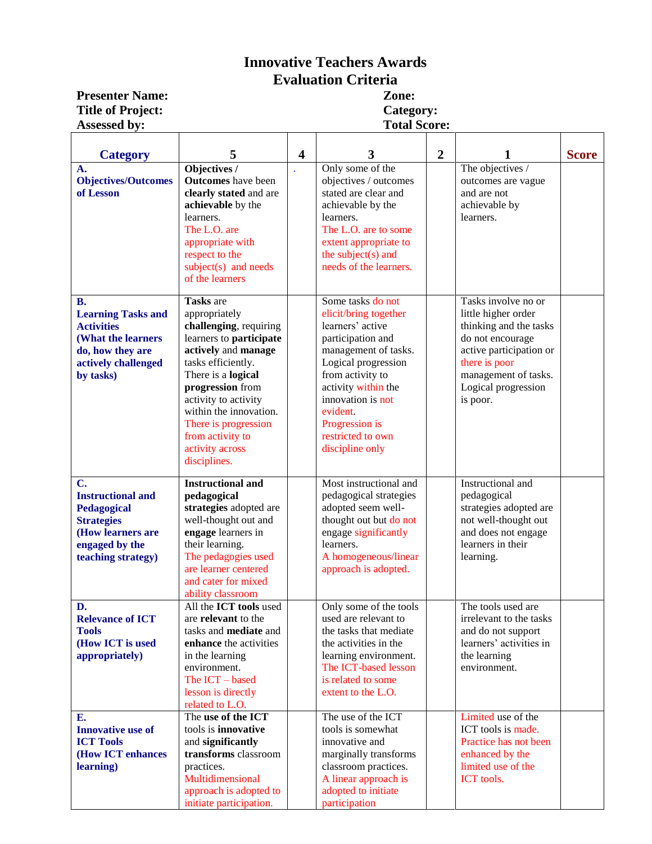## **Innovative Teachers Awards Evaluation Criteria**

**Presenter Name: Title of Project:**<br>**Assessed by:** 

**Category:**<br>Total Score:

| <b>Category</b>                                                                                                                           | 5                                                                                                                                                                                                                                                                                                       | $\overline{\mathbf{4}}$ | 3                                                                                                                                                                                                                                                                        | $\overline{2}$ |                                                                                                                                                                                                 | <b>Score</b> |
|-------------------------------------------------------------------------------------------------------------------------------------------|---------------------------------------------------------------------------------------------------------------------------------------------------------------------------------------------------------------------------------------------------------------------------------------------------------|-------------------------|--------------------------------------------------------------------------------------------------------------------------------------------------------------------------------------------------------------------------------------------------------------------------|----------------|-------------------------------------------------------------------------------------------------------------------------------------------------------------------------------------------------|--------------|
| A.<br><b>Objectives/Outcomes</b><br>of Lesson                                                                                             | Objectives /<br><b>Outcomes</b> have been<br>clearly stated and are<br>achievable by the<br>learners.<br>The L.O. are<br>appropriate with<br>respect to the<br>$subject(s)$ and needs<br>of the learners                                                                                                |                         | Only some of the<br>objectives / outcomes<br>stated are clear and<br>achievable by the<br>learners.<br>The L.O. are to some<br>extent appropriate to<br>the subject(s) and<br>needs of the learners.                                                                     |                | The objectives /<br>outcomes are vague<br>and are not<br>achievable by<br>learners.                                                                                                             |              |
| <b>B.</b><br><b>Learning Tasks and</b><br><b>Activities</b><br>(What the learners<br>do, how they are<br>actively challenged<br>by tasks) | Tasks are<br>appropriately<br>challenging, requiring<br>learners to participate<br>actively and manage<br>tasks efficiently.<br>There is a logical<br>progression from<br>activity to activity<br>within the innovation.<br>There is progression<br>from activity to<br>activity across<br>disciplines. |                         | Some tasks do not<br>elicit/bring together<br>learners' active<br>participation and<br>management of tasks.<br>Logical progression<br>from activity to<br>activity within the<br>innovation is not<br>evident.<br>Progression is<br>restricted to own<br>discipline only |                | Tasks involve no or<br>little higher order<br>thinking and the tasks<br>do not encourage<br>active participation or<br>there is poor<br>management of tasks.<br>Logical progression<br>is poor. |              |
| C.<br><b>Instructional and</b><br>Pedagogical<br><b>Strategies</b><br>(How learners are<br>engaged by the<br>teaching strategy)           | <b>Instructional and</b><br>pedagogical<br>strategies adopted are<br>well-thought out and<br>engage learners in<br>their learning.<br>The pedagogies used<br>are learner centered<br>and cater for mixed<br>ability classroom                                                                           |                         | Most instructional and<br>pedagogical strategies<br>adopted seem well-<br>thought out but do not<br>engage significantly<br>learners.<br>A homogeneous/linear<br>approach is adopted.                                                                                    |                | Instructional and<br>pedagogical<br>strategies adopted are<br>not well-thought out<br>and does not engage<br>learners in their<br>learning.                                                     |              |
| D.<br><b>Relevance of ICT</b><br><b>Tools</b><br>(How ICT is used<br>appropriately)<br>E.                                                 | All the ICT tools used<br>are relevant to the<br>tasks and <b>mediate</b> and<br>enhance the activities<br>in the learning<br>environment.<br>The ICT - based<br>lesson is directly<br>related to L.O.<br>The use of the ICT                                                                            |                         | Only some of the tools<br>used are relevant to<br>the tasks that mediate<br>the activities in the<br>learning environment.<br>The ICT-based lesson<br>is related to some<br>extent to the L.O.<br>The use of the ICT                                                     |                | The tools used are<br>irrelevant to the tasks<br>and do not support<br>learners' activities in<br>the learning<br>environment.<br>Limited use of the                                            |              |
| <b>Innovative use of</b><br><b>ICT Tools</b><br>(How ICT enhances<br>learning)                                                            | tools is innovative<br>and significantly<br>transforms classroom<br>practices.<br>Multidimensional<br>approach is adopted to<br>initiate participation.                                                                                                                                                 |                         | tools is somewhat<br>innovative and<br>marginally transforms<br>classroom practices.<br>A linear approach is<br>adopted to initiate<br>participation                                                                                                                     |                | ICT tools is made.<br>Practice has not been<br>enhanced by the<br>limited use of the<br>ICT tools.                                                                                              |              |